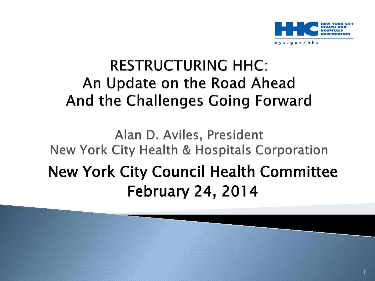

#### **RESTRUCTURING HHC:** An Update on the Road Ahead And the Challenges Going Forward

### Alan D. Aviles, President New York City Health & Hospitals Corporation New York City Council Health Committee February 24, 2014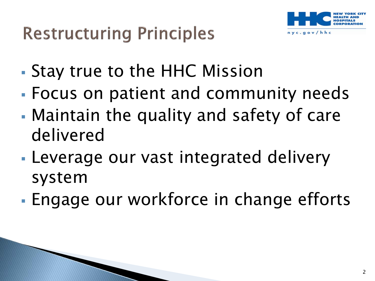

- Stay true to the HHC Mission
- Focus on patient and community needs
- Maintain the quality and safety of care delivered
- Leverage our vast integrated delivery system
- Engage our workforce in change efforts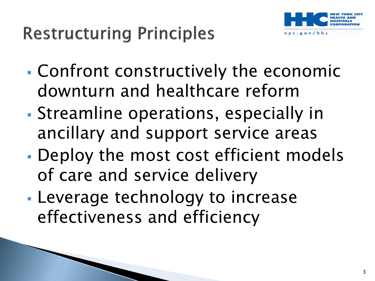

- Confront constructively the economic downturn and healthcare reform
- Streamline operations, especially in ancillary and support service areas
- Deploy the most cost efficient models of care and service delivery
- Leverage technology to increase effectiveness and efficiency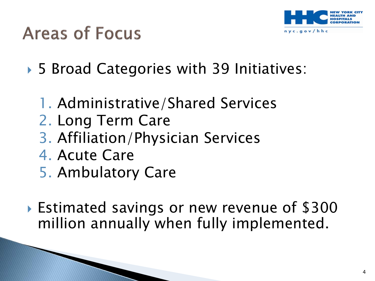

## **Areas of Focus**

- ▶ 5 Broad Categories with 39 Initiatives:
	- 1. Administrative/Shared Services
	- 2. Long Term Care
	- 3. Affiliation/Physician Services
	- 4. Acute Care
	- 5. Ambulatory Care
- Estimated savings or new revenue of \$300 million annually when fully implemented.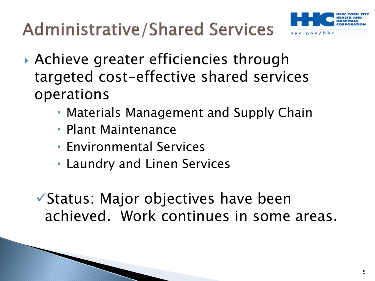**Administrative/Shared Services** 



- Achieve greater efficiencies through targeted cost-effective shared services operations
	- Materials Management and Supply Chain
	- Plant Maintenance
	- Environmental Services
	- Laundry and Linen Services

Status: Major objectives have been achieved. Work continues in some areas.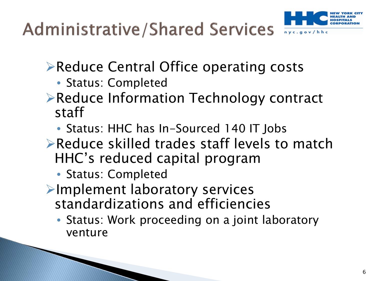

- **Example 2 Figure Central Office operating costs** 
	- Status: Completed
- **Example 2 Propellish Feeduce Information Technology contract** staff
	- Status: HHC has In-Sourced 140 IT Jobs
- **Example 2** Reduce skilled trades staff levels to match HHC's reduced capital program
	- Status: Completed
- Implement laboratory services standardizations and efficiencies
	- Status: Work proceeding on a joint laboratory venture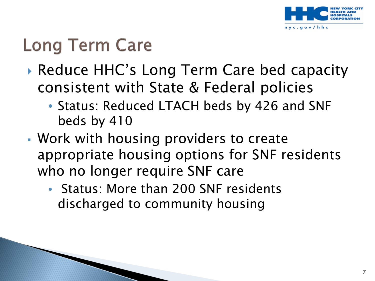

# **Long Term Care**

- ▶ Reduce HHC's Long Term Care bed capacity consistent with State & Federal policies
	- Status: Reduced LTACH beds by 426 and SNF beds by 410
- Work with housing providers to create appropriate housing options for SNF residents who no longer require SNF care
	- Status: More than 200 SNF residents discharged to community housing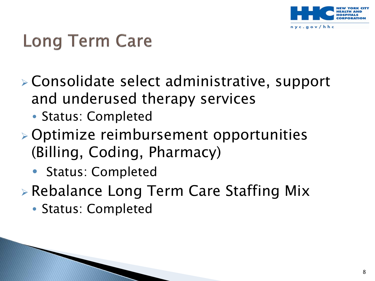

# **Long Term Care**

- Consolidate select administrative, support and underused therapy services
	- Status: Completed
- Optimize reimbursement opportunities (Billing, Coding, Pharmacy)
	- Status: Completed
- Rebalance Long Term Care Staffing Mix
	- Status: Completed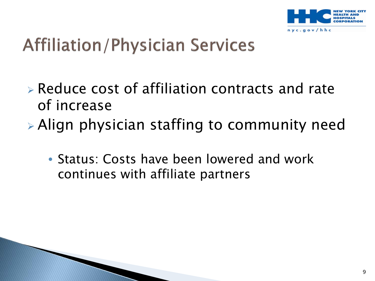

# **Affiliation/Physician Services**

- Reduce cost of affiliation contracts and rate of increase
- Align physician staffing to community need
	- Status: Costs have been lowered and work continues with affiliate partners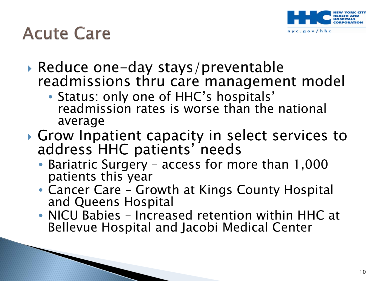

### **Acute Care**

- ▶ Reduce one-day stays/preventable<br>readmissions thru care management model<br>• Status: only one of HHC's hospitals'
	- readmission rates is worse than the national average
- Grow Inpatient capacity in select services to address HHC patients' needs
	- Bariatric Surgery access for more than 1,000 patients this year
	- Cancer Care Growth at Kings County Hospital and Queens Hospital
	- NICU Babies Increased retention within HHC at Bellevue Hospital and Jacobi Medical Center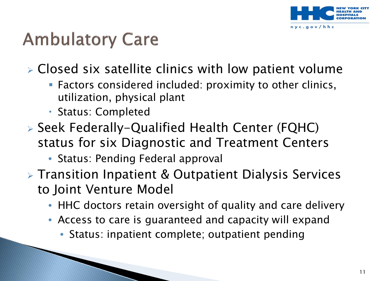

## **Ambulatory Care**

Closed six satellite clinics with low patient volume

- **Factors considered included: proximity to other clinics,** utilization, physical plant
- Status: Completed
- Seek Federally-Qualified Health Center (FQHC) status for six Diagnostic and Treatment Centers
	- Status: Pending Federal approval
- **EXA)** Transition Inpatient & Outpatient Dialysis Services to Joint Venture Model
	- HHC doctors retain oversight of quality and care delivery
	- Access to care is guaranteed and capacity will expand
		- Status: inpatient complete; outpatient pending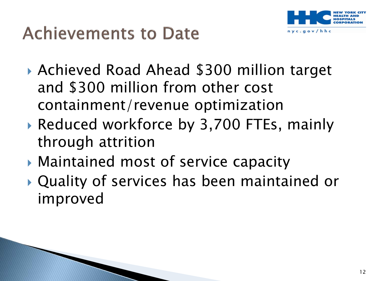

# **Achievements to Date**

- Achieved Road Ahead \$300 million target and \$300 million from other cost containment/revenue optimization
- ▶ Reduced workforce by 3,700 FTEs, mainly through attrition
- Maintained most of service capacity
- Quality of services has been maintained or improved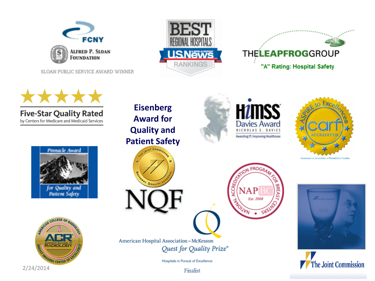

SLOAN PUBLIC SERVICE AWARD WINNER























American Hospital Association-McKesson Quest for Quality Prize®

Hospitals in Pursuit of Excellence

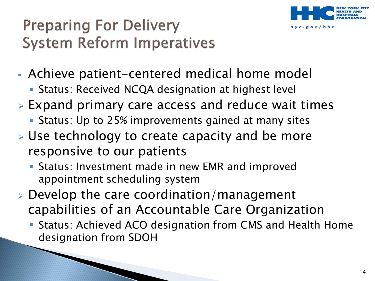

### **Preparing For Delivery System Reform Imperatives**

- Achieve patient-centered medical home model
	- **Status: Received NCQA designation at highest level**
- Expand primary care access and reduce wait times
	- Status: Up to 25% improvements gained at many sites
- $\triangleright$  Use technology to create capacity and be more responsive to our patients
	- **Status: Investment made in new EMR and improved** appointment scheduling system
- $\triangleright$  Develop the care coordination/management capabilities of an Accountable Care Organization
	- Status: Achieved ACO designation from CMS and Health Home designation from SDOH